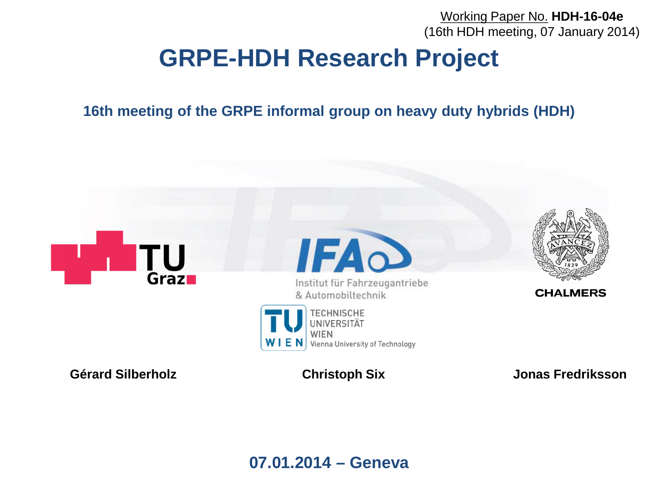Working Paper No. **HDH-16-04e** (16th HDH meeting, 07 January 2014)

# **GRPE-HDH Research Project**

**16th meeting of the GRPE informal group on heavy duty hybrids (HDH)**



**07.01.2014 – Geneva**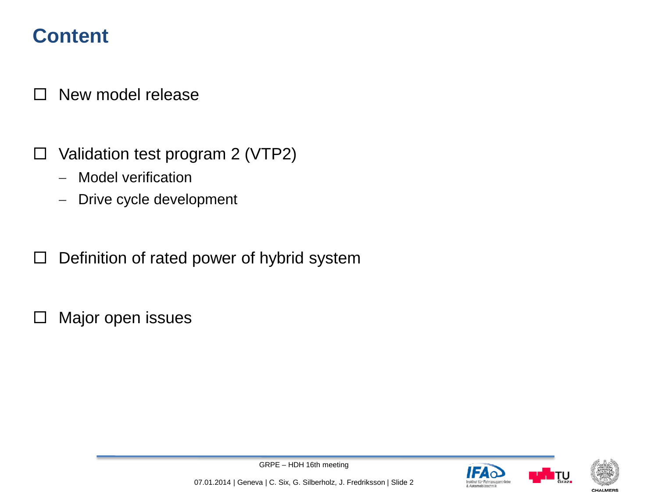### **Content**

 $\Box$  New model release

- $\Box$  Validation test program 2 (VTP2)
	- − Model verification
	- Drive cycle development
- $\Box$  Definition of rated power of hybrid system
- $\square$  Major open issues





**CHALMER** 

GRPE – HDH 16th meeting

07.01.2014 | Geneva | C. Six, G. Silberholz, J. Fredriksson | Slide 2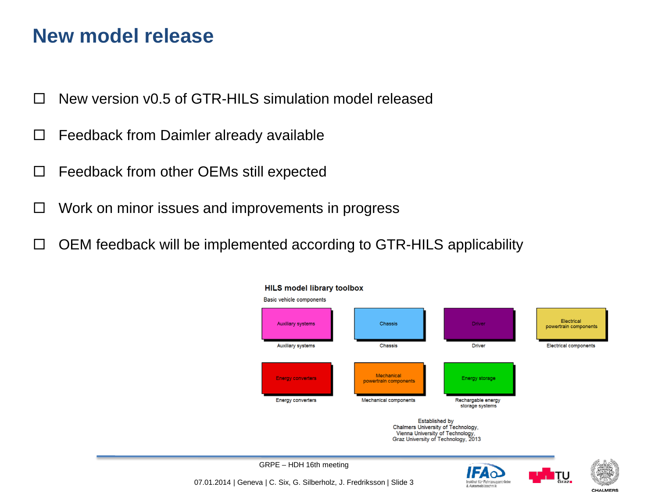#### **New model release**

- $\Box$  New version v0.5 of GTR-HILS simulation model released
- $\Box$  Feedback from Daimler already available
- $\Box$  Feedback from other OEMs still expected
- $\Box$  Work on minor issues and improvements in progress
- $\Box$  OEM feedback will be implemented according to GTR-HILS applicability







GRPE – HDH 16th meeting 07.01.2014 | Geneva | C. Six, G. Silberholz, J. Fredriksson | Slide 3

**CHALMERS**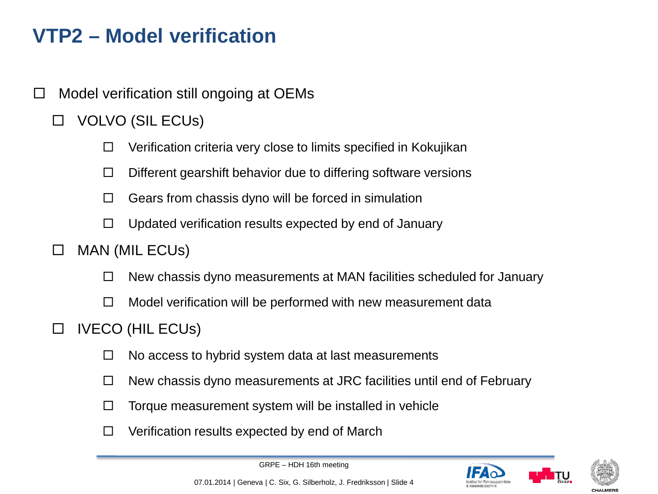## **VTP2 – Model verification**

- $\Box$  Model verification still ongoing at OEMs
	- VOLVO (SIL ECUs)
		- $\Box$  Verification criteria very close to limits specified in Kokujikan
		- $\Box$  Different gearshift behavior due to differing software versions
		- $\Box$  Gears from chassis dyno will be forced in simulation
		- $\Box$  Updated verification results expected by end of January
	- $\Box$  MAN (MIL ECUs)
		- $\Box$  New chassis dyno measurements at MAN facilities scheduled for January
		- $\Box$  Model verification will be performed with new measurement data
	- $\Box$  IVECO (HIL ECUs)
		- $\Box$  No access to hybrid system data at last measurements
		- $\Box$  New chassis dyno measurements at JRC facilities until end of February
		- $\Box$  Torque measurement system will be installed in vehicle
		- $\Box$  Verification results expected by end of March





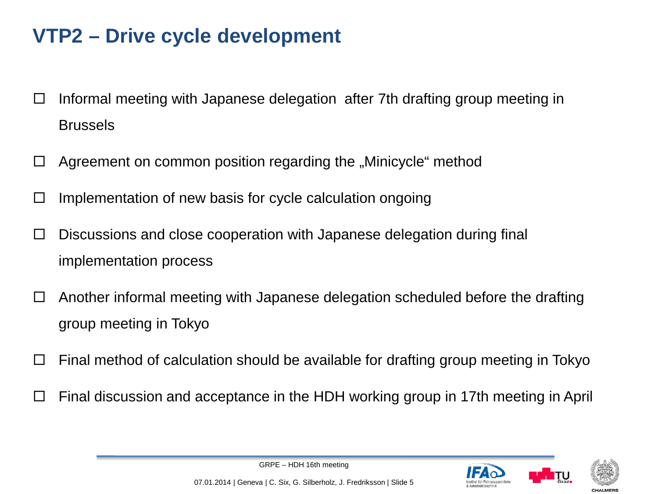# **VTP2 – Drive cycle development**

- $\Box$  Informal meeting with Japanese delegation after 7th drafting group meeting in Brussels
- $\Box$  Agreement on common position regarding the "Minicycle" method
- $\Box$  Implementation of new basis for cycle calculation ongoing
- $\Box$  Discussions and close cooperation with Japanese delegation during final implementation process
- $\Box$  Another informal meeting with Japanese delegation scheduled before the drafting group meeting in Tokyo
- $\Box$  Final method of calculation should be available for drafting group meeting in Tokyo
- Final discussion and acceptance in the HDH working group in 17th meeting in April





GRPE – HDH 16th meeting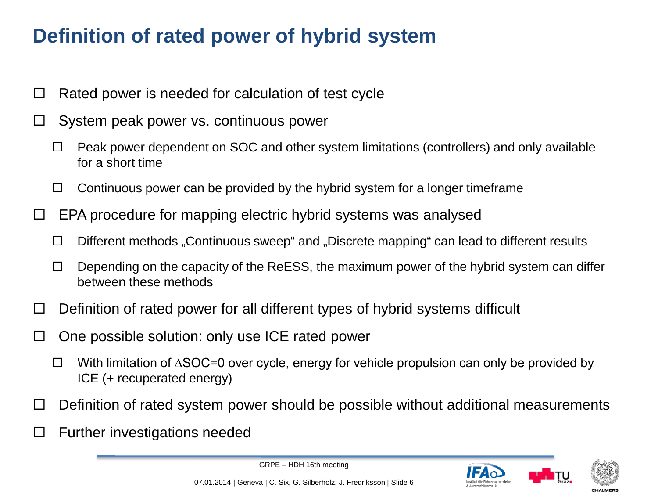# **Definition of rated power of hybrid system**

- $\Box$  Rated power is needed for calculation of test cycle
- $\Box$  System peak power vs. continuous power
	- $\Box$  Peak power dependent on SOC and other system limitations (controllers) and only available for a short time
	- $\Box$  Continuous power can be provided by the hybrid system for a longer timeframe
- $\Box$  EPA procedure for mapping electric hybrid systems was analysed
	- $\Box$  Different methods "Continuous sweep" and "Discrete mapping" can lead to different results
	- $\Box$  Depending on the capacity of the ReESS, the maximum power of the hybrid system can differ between these methods
- $\Box$  Definition of rated power for all different types of hybrid systems difficult
- $\Box$  One possible solution: only use ICE rated power
	- With limitation of ∆SOC=0 over cycle, energy for vehicle propulsion can only be provided by ICE (+ recuperated energy)
- $\Box$  Definition of rated system power should be possible without additional measurements
- $\Box$  Further investigations needed





GRPE – HDH 16th meeting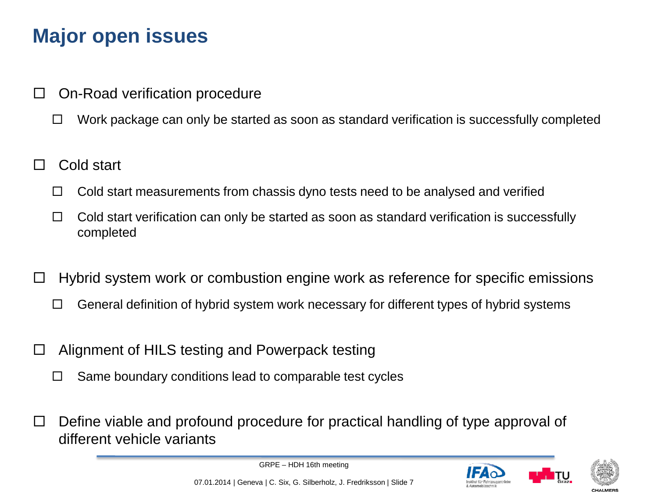# **Major open issues**

- On-Road verification procedure
	- $\Box$  Work package can only be started as soon as standard verification is successfully completed
- Cold start
	- $\Box$  Cold start measurements from chassis dyno tests need to be analysed and verified
	- $\Box$  Cold start verification can only be started as soon as standard verification is successfully completed
- Hybrid system work or combustion engine work as reference for specific emissions
	- $\Box$  General definition of hybrid system work necessary for different types of hybrid systems
- $\Box$  Alignment of HILS testing and Powerpack testing
	- $\Box$  Same boundary conditions lead to comparable test cycles
- Define viable and profound procedure for practical handling of type approval of different vehicle variants

GRPE – HDH 16th meeting





07.01.2014 | Geneva | C. Six, G. Silberholz, J. Fredriksson | Slide 7